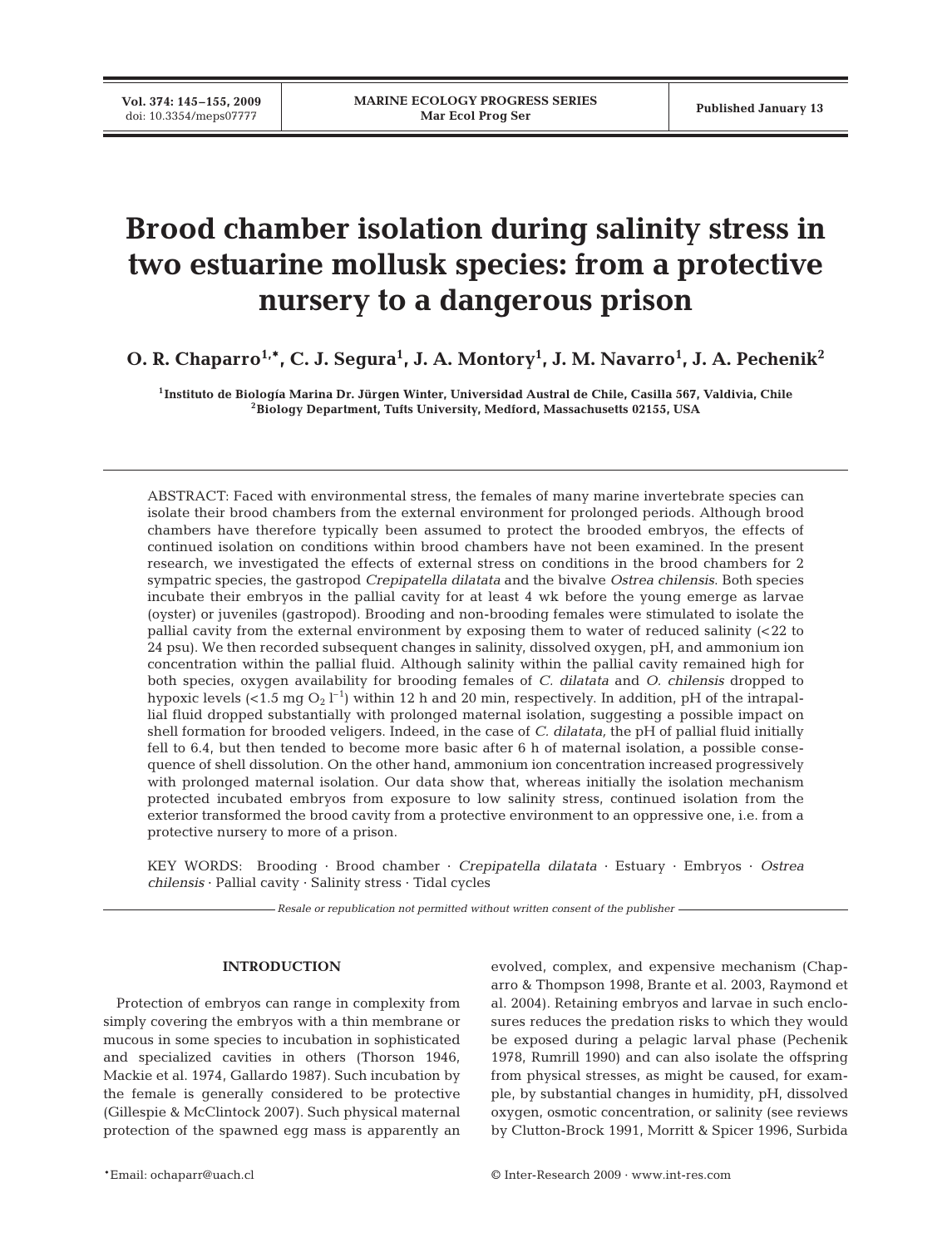# **Brood chamber isolation during salinity stress in two estuarine mollusk species: from a protective nursery to a dangerous prison**

**O. R. Chaparro1,\*, C. J. Segura1 , J. A. Montory1 , J. M. Navarro1 , J. A. Pechenik2**

**1Instituto de Biología Marina Dr. Jürgen Winter, Universidad Austral de Chile, Casilla 567, Valdivia, Chile 2Biology Department, Tufts University, Medford, Massachusetts 02155, USA**

ABSTRACT: Faced with environmental stress, the females of many marine invertebrate species can isolate their brood chambers from the external environment for prolonged periods. Although brood chambers have therefore typically been assumed to protect the brooded embryos, the effects of continued isolation on conditions within brood chambers have not been examined. In the present research, we investigated the effects of external stress on conditions in the brood chambers for 2 sympatric species, the gastropod *Crepipatella dilatata* and the bivalve *Ostrea chilensis*. Both species incubate their embryos in the pallial cavity for at least 4 wk before the young emerge as larvae (oyster) or juveniles (gastropod). Brooding and non-brooding females were stimulated to isolate the pallial cavity from the external environment by exposing them to water of reduced salinity (<22 to 24 psu). We then recorded subsequent changes in salinity, dissolved oxygen, pH, and ammonium ion concentration within the pallial fluid. Although salinity within the pallial cavity remained high for both species, oxygen availability for brooding females of *C. dilatata* and *O. chilensis* dropped to hypoxic levels (<1.5 mg  $\mathrm{O}_2$  l $^{-1}$ ) within 12 h and 20 min, respectively. In addition, pH of the intrapallial fluid dropped substantially with prolonged maternal isolation, suggesting a possible impact on shell formation for brooded veligers. Indeed, in the case of *C. dilatata,* the pH of pallial fluid initially fell to 6.4, but then tended to become more basic after 6 h of maternal isolation, a possible consequence of shell dissolution. On the other hand, ammonium ion concentration increased progressively with prolonged maternal isolation. Our data show that, whereas initially the isolation mechanism protected incubated embryos from exposure to low salinity stress, continued isolation from the exterior transformed the brood cavity from a protective environment to an oppressive one, i.e. from a protective nursery to more of a prison.

KEY WORDS: Brooding · Brood chamber · *Crepipatella dilatata* · Estuary · Embryos · *Ostrea chilensis* · Pallial cavity · Salinity stress · Tidal cycles

*Resale or republication not permitted without written consent of the publisher*

# **INTRODUCTION**

Protection of embryos can range in complexity from simply covering the embryos with a thin membrane or mucous in some species to incubation in sophisticated and specialized cavities in others (Thorson 1946, Mackie et al. 1974, Gallardo 1987). Such incubation by the female is generally considered to be protective (Gillespie & McClintock 2007). Such physical maternal protection of the spawned egg mass is apparently an evolved, complex, and expensive mechanism (Chaparro & Thompson 1998, Brante et al. 2003, Raymond et al. 2004). Retaining embryos and larvae in such enclosures reduces the predation risks to which they would be exposed during a pelagic larval phase (Pechenik 1978, Rumrill 1990) and can also isolate the offspring from physical stresses, as might be caused, for example, by substantial changes in humidity, pH, dissolved oxygen, osmotic concentration, or salinity (see reviews by Clutton-Brock 1991, Morritt & Spicer 1996, Surbida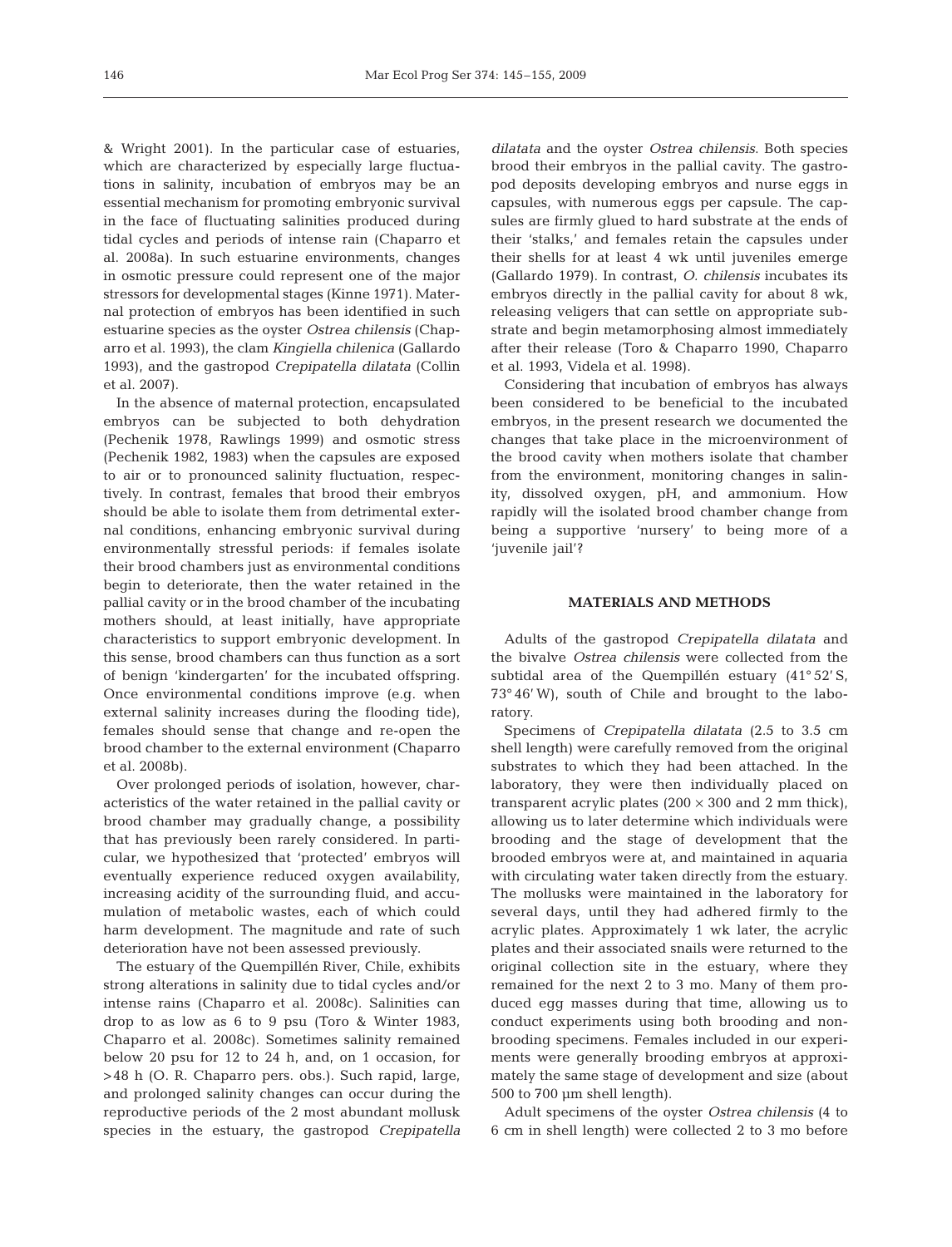& Wright 2001). In the particular case of estuaries, which are characterized by especially large fluctuations in salinity, incubation of embryos may be an essential mechanism for promoting embryonic survival in the face of fluctuating salinities produced during tidal cycles and periods of intense rain (Chaparro et al. 2008a). In such estuarine environments, changes in osmotic pressure could represent one of the major stressors for developmental stages (Kinne 1971). Maternal protection of embryos has been identified in such estuarine species as the oyster *Ostrea chilensis* (Chaparro et al. 1993), the clam *Kingiella chilenica* (Gallardo 1993), and the gastropod *Crepipatella dilatata* (Collin et al. 2007).

In the absence of maternal protection, encapsulated embryos can be subjected to both dehydration (Pechenik 1978, Rawlings 1999) and osmotic stress (Pechenik 1982, 1983) when the capsules are exposed to air or to pronounced salinity fluctuation, respectively. In contrast, females that brood their embryos should be able to isolate them from detrimental external conditions, enhancing embryonic survival during environmentally stressful periods: if females isolate their brood chambers just as environmental conditions begin to deteriorate, then the water retained in the pallial cavity or in the brood chamber of the incubating mothers should, at least initially, have appropriate characteristics to support embryonic development. In this sense, brood chambers can thus function as a sort of benign 'kindergarten' for the incubated offspring. Once environmental conditions improve (e.g. when external salinity increases during the flooding tide), females should sense that change and re-open the brood chamber to the external environment (Chaparro et al. 2008b).

Over prolonged periods of isolation, however, characteristics of the water retained in the pallial cavity or brood chamber may gradually change, a possibility that has previously been rarely considered. In particular, we hypothesized that 'protected' embryos will eventually experience reduced oxygen availability, increasing acidity of the surrounding fluid, and accumulation of metabolic wastes, each of which could harm development. The magnitude and rate of such deterioration have not been assessed previously.

The estuary of the Quempillén River, Chile, exhibits strong alterations in salinity due to tidal cycles and/or intense rains (Chaparro et al. 2008c). Salinities can drop to as low as 6 to 9 psu (Toro & Winter 1983, Chaparro et al. 2008c). Sometimes salinity remained below 20 psu for 12 to 24 h, and, on 1 occasion, for >48 h (O. R. Chaparro pers. obs.). Such rapid, large, and prolonged salinity changes can occur during the reproductive periods of the 2 most abundant mollusk species in the estuary, the gastropod *Crepipatella*

*dilatata* and the oyster *Ostrea chilensis*. Both species brood their embryos in the pallial cavity. The gastropod deposits developing embryos and nurse eggs in capsules, with numerous eggs per capsule. The capsules are firmly glued to hard substrate at the ends of their 'stalks,' and females retain the capsules under their shells for at least 4 wk until juveniles emerge (Gallardo 1979). In contrast, *O. chilensis* incubates its embryos directly in the pallial cavity for about 8 wk, releasing veligers that can settle on appropriate substrate and begin metamorphosing almost immediately after their release (Toro & Chaparro 1990, Chaparro et al. 1993, Videla et al. 1998).

Considering that incubation of embryos has always been considered to be beneficial to the incubated embryos, in the present research we documented the changes that take place in the microenvironment of the brood cavity when mothers isolate that chamber from the environment, monitoring changes in salinity, dissolved oxygen, pH, and ammonium. How rapidly will the isolated brood chamber change from being a supportive 'nursery' to being more of a 'juvenile jail'?

# **MATERIALS AND METHODS**

Adults of the gastropod *Crepipatella dilatata* and the bivalve *Ostrea chilensis* were collected from the subtidal area of the Quempillén estuary (41°52' S, 73° 46' W), south of Chile and brought to the laboratory.

Specimens of *Crepipatella dilatata* (2.5 to 3.5 cm shell length) were carefully removed from the original substrates to which they had been attached. In the laboratory, they were then individually placed on transparent acrylic plates  $(200 \times 300$  and 2 mm thick), allowing us to later determine which individuals were brooding and the stage of development that the brooded embryos were at, and maintained in aquaria with circulating water taken directly from the estuary. The mollusks were maintained in the laboratory for several days, until they had adhered firmly to the acrylic plates. Approximately 1 wk later, the acrylic plates and their associated snails were returned to the original collection site in the estuary, where they remained for the next 2 to 3 mo. Many of them produced egg masses during that time, allowing us to conduct experiments using both brooding and nonbrooding specimens. Females included in our experiments were generally brooding embryos at approximately the same stage of development and size (about 500 to 700 µm shell length).

Adult specimens of the oyster *Ostrea chilensis* (4 to 6 cm in shell length) were collected 2 to 3 mo before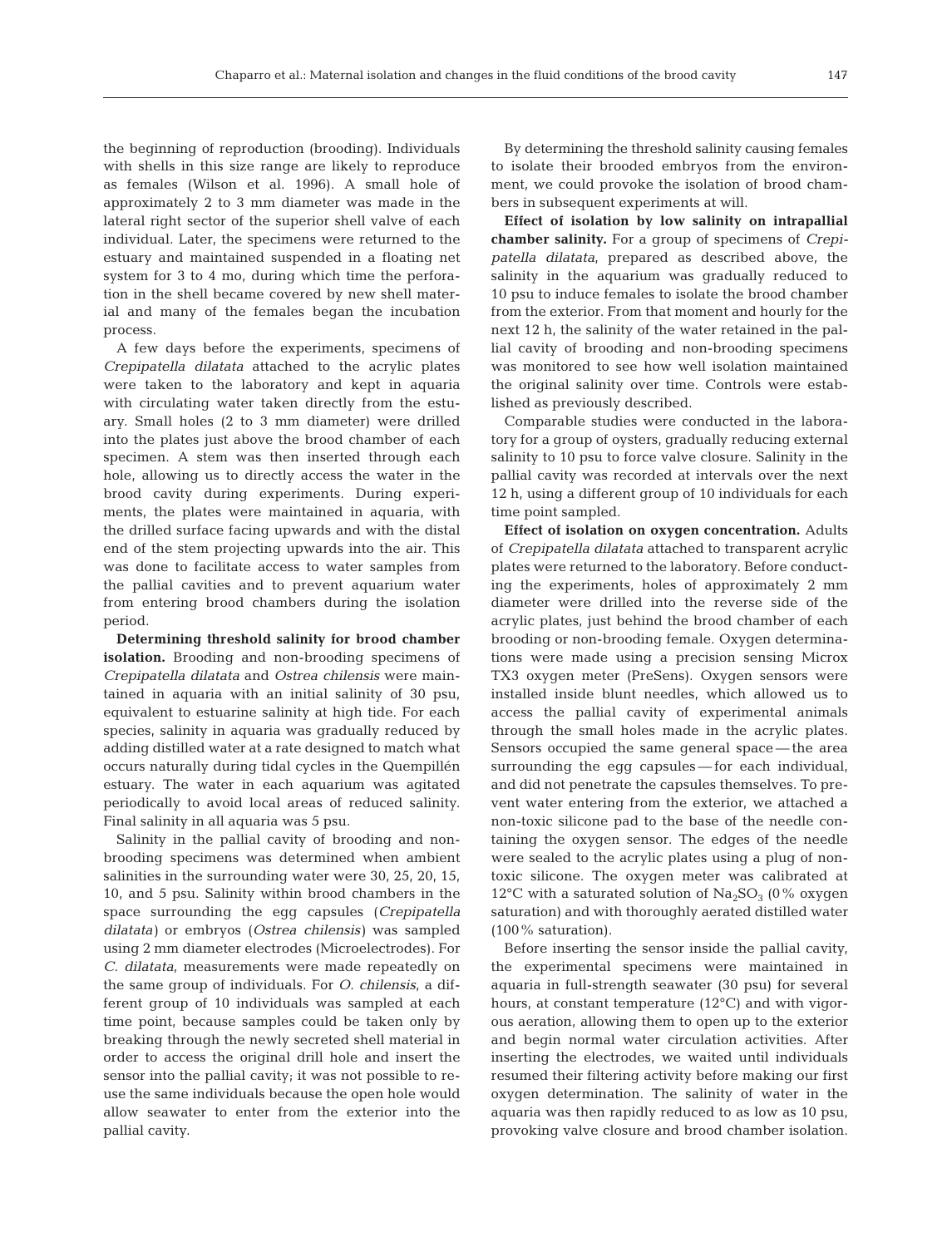the beginning of reproduction (brooding). Individuals with shells in this size range are likely to reproduce as females (Wilson et al. 1996). A small hole of approximately 2 to 3 mm diameter was made in the lateral right sector of the superior shell valve of each individual. Later, the specimens were returned to the estuary and maintained suspended in a floating net system for 3 to 4 mo, during which time the perforation in the shell became covered by new shell material and many of the females began the incubation process.

A few days before the experiments, specimens of *Crepipatella dilatata* attached to the acrylic plates were taken to the laboratory and kept in aquaria with circulating water taken directly from the estuary. Small holes (2 to 3 mm diameter) were drilled into the plates just above the brood chamber of each specimen. A stem was then inserted through each hole, allowing us to directly access the water in the brood cavity during experiments. During experiments, the plates were maintained in aquaria, with the drilled surface facing upwards and with the distal end of the stem projecting upwards into the air. This was done to facilitate access to water samples from the pallial cavities and to prevent aquarium water from entering brood chambers during the isolation period.

**Determining threshold salinity for brood chamber isolation.** Brooding and non-brooding specimens of *Crepipatella dilatata* and *Ostrea chilensis* were maintained in aquaria with an initial salinity of 30 psu, equivalent to estuarine salinity at high tide. For each species, salinity in aquaria was gradually reduced by adding distilled water at a rate designed to match what occurs naturally during tidal cycles in the Quempillén estuary. The water in each aquarium was agitated periodically to avoid local areas of reduced salinity. Final salinity in all aquaria was 5 psu.

Salinity in the pallial cavity of brooding and nonbrooding specimens was determined when ambient salinities in the surrounding water were 30, 25, 20, 15, 10, and 5 psu. Salinity within brood chambers in the space surrounding the egg capsules (*Crepipatella dilatata)* or embryos (*Ostrea chilensis)* was sampled using 2 mm diameter electrodes (Microelectrodes). For *C. dilatata*, measurements were made repeatedly on the same group of individuals. For *O. chilensis*, a different group of 10 individuals was sampled at each time point, because samples could be taken only by breaking through the newly secreted shell material in order to access the original drill hole and insert the sensor into the pallial cavity; it was not possible to reuse the same individuals because the open hole would allow seawater to enter from the exterior into the pallial cavity.

By determining the threshold salinity causing females to isolate their brooded embryos from the environment, we could provoke the isolation of brood chambers in subsequent experiments at will.

**Effect of isolation by low salinity on intrapallial chamber salinity.** For a group of specimens of *Crepipatella dilatata*, prepared as described above, the salinity in the aquarium was gradually reduced to 10 psu to induce females to isolate the brood chamber from the exterior. From that moment and hourly for the next 12 h, the salinity of the water retained in the pallial cavity of brooding and non-brooding specimens was monitored to see how well isolation maintained the original salinity over time. Controls were established as previously described.

Comparable studies were conducted in the laboratory for a group of oysters, gradually reducing external salinity to 10 psu to force valve closure. Salinity in the pallial cavity was recorded at intervals over the next 12 h, using a different group of 10 individuals for each time point sampled.

**Effect of isolation on oxygen concentration.** Adults of *Crepipatella dilatata* attached to transparent acrylic plates were returned to the laboratory. Before conducting the experiments, holes of approximately 2 mm diameter were drilled into the reverse side of the acrylic plates, just behind the brood chamber of each brooding or non-brooding female. Oxygen determinations were made using a precision sensing Microx TX3 oxygen meter (PreSens). Oxygen sensors were installed inside blunt needles, which allowed us to access the pallial cavity of experimental animals through the small holes made in the acrylic plates. Sensors occupied the same general space — the area surrounding the egg capsules — for each individual, and did not penetrate the capsules themselves. To prevent water entering from the exterior, we attached a non-toxic silicone pad to the base of the needle containing the oxygen sensor. The edges of the needle were sealed to the acrylic plates using a plug of nontoxic silicone. The oxygen meter was calibrated at 12°C with a saturated solution of  $Na<sub>2</sub>SO<sub>3</sub>$  (0% oxygen saturation) and with thoroughly aerated distilled water (100% saturation).

Before inserting the sensor inside the pallial cavity, the experimental specimens were maintained in aquaria in full-strength seawater (30 psu) for several hours, at constant temperature (12°C) and with vigorous aeration, allowing them to open up to the exterior and begin normal water circulation activities. After inserting the electrodes, we waited until individuals resumed their filtering activity before making our first oxygen determination. The salinity of water in the aquaria was then rapidly reduced to as low as 10 psu, provoking valve closure and brood chamber isolation.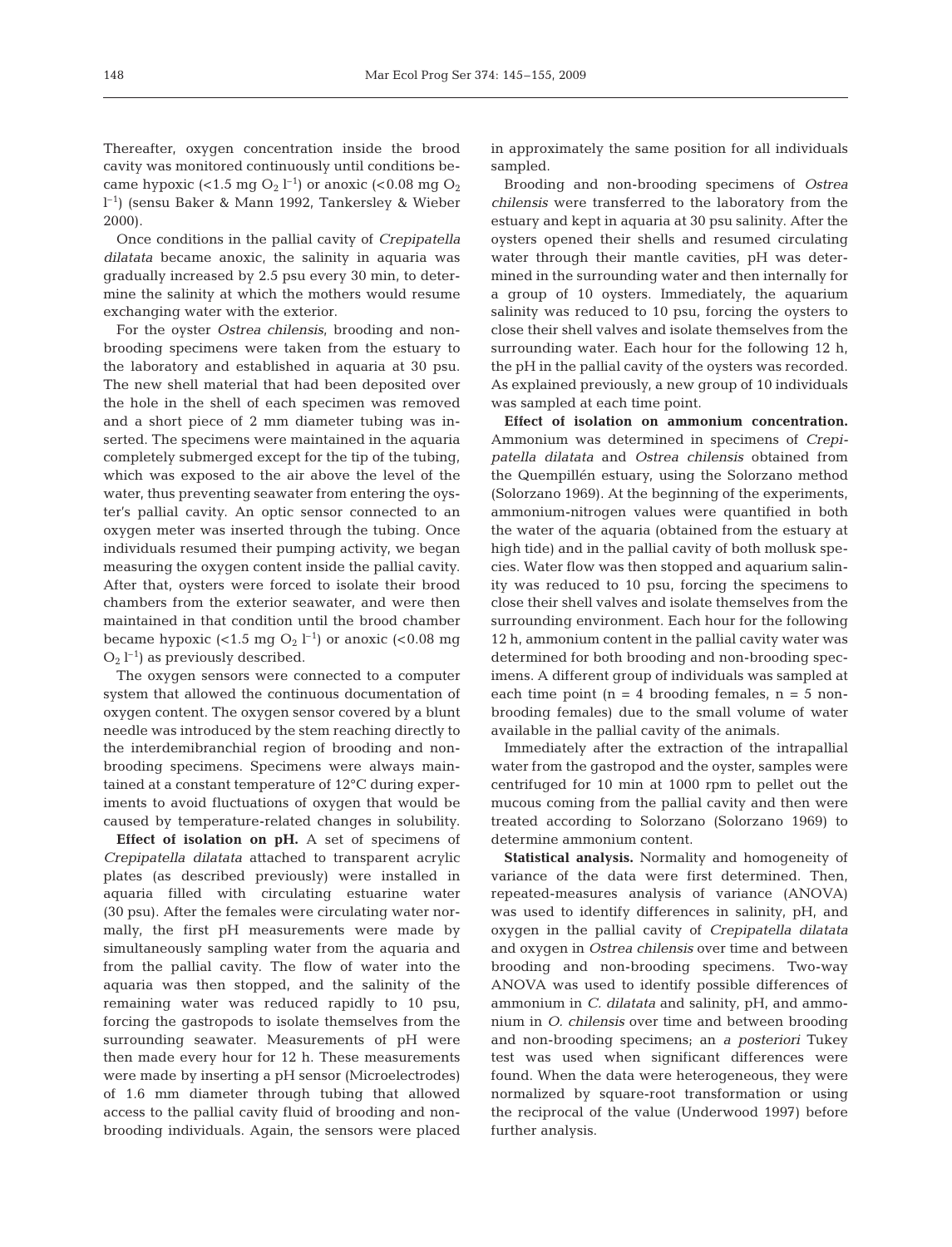Once conditions in the pallial cavity of *Crepipatella dilatata* became anoxic, the salinity in aquaria was gradually increased by 2.5 psu every 30 min, to determine the salinity at which the mothers would resume exchanging water with the exterior.

For the oyster *Ostrea chilensis*, brooding and nonbrooding specimens were taken from the estuary to the laboratory and established in aquaria at 30 psu. The new shell material that had been deposited over the hole in the shell of each specimen was removed and a short piece of 2 mm diameter tubing was inserted. The specimens were maintained in the aquaria completely submerged except for the tip of the tubing, which was exposed to the air above the level of the water, thus preventing seawater from entering the oyster's pallial cavity. An optic sensor connected to an oxygen meter was inserted through the tubing. Once individuals resumed their pumping activity, we began measuring the oxygen content inside the pallial cavity. After that, oysters were forced to isolate their brood chambers from the exterior seawater, and were then maintained in that condition until the brood chamber became hypoxic (<1.5 mg  $O_2$  l<sup>-1</sup>) or anoxic (<0.08 mg  $O_2$  l<sup>-1</sup>) as previously described.

The oxygen sensors were connected to a computer system that allowed the continuous documentation of oxygen content. The oxygen sensor covered by a blunt needle was introduced by the stem reaching directly to the interdemibranchial region of brooding and nonbrooding specimens. Specimens were always maintained at a constant temperature of 12°C during experiments to avoid fluctuations of oxygen that would be caused by temperature-related changes in solubility.

**Effect of isolation on pH.** A set of specimens of *Crepipatella dilatata* attached to transparent acrylic plates (as described previously) were installed in aquaria filled with circulating estuarine water (30 psu). After the females were circulating water normally, the first pH measurements were made by simultaneously sampling water from the aquaria and from the pallial cavity. The flow of water into the aquaria was then stopped, and the salinity of the remaining water was reduced rapidly to 10 psu, forcing the gastropods to isolate themselves from the surrounding seawater. Measurements of pH were then made every hour for 12 h. These measurements were made by inserting a pH sensor (Microelectrodes) of 1.6 mm diameter through tubing that allowed access to the pallial cavity fluid of brooding and nonbrooding individuals. Again, the sensors were placed

in approximately the same position for all individuals sampled.

Brooding and non-brooding specimens of *Ostrea chilensis* were transferred to the laboratory from the estuary and kept in aquaria at 30 psu salinity. After the oysters opened their shells and resumed circulating water through their mantle cavities, pH was determined in the surrounding water and then internally for a group of 10 oysters. Immediately, the aquarium salinity was reduced to 10 psu, forcing the oysters to close their shell valves and isolate themselves from the surrounding water. Each hour for the following 12 h, the pH in the pallial cavity of the oysters was recorded. As explained previously, a new group of 10 individuals was sampled at each time point.

**Effect of isolation on ammonium concentration.** Ammonium was determined in specimens of *Crepipatella dilatata* and *Ostrea chilensis* obtained from the Quempillén estuary, using the Solorzano method (Solorzano 1969). At the beginning of the experiments, ammonium-nitrogen values were quantified in both the water of the aquaria (obtained from the estuary at high tide) and in the pallial cavity of both mollusk species. Water flow was then stopped and aquarium salinity was reduced to 10 psu, forcing the specimens to close their shell valves and isolate themselves from the surrounding environment. Each hour for the following 12 h, ammonium content in the pallial cavity water was determined for both brooding and non-brooding specimens. A different group of individuals was sampled at each time point  $(n = 4$  brooding females,  $n = 5$  nonbrooding females) due to the small volume of water available in the pallial cavity of the animals.

Immediately after the extraction of the intrapallial water from the gastropod and the oyster, samples were centrifuged for 10 min at 1000 rpm to pellet out the mucous coming from the pallial cavity and then were treated according to Solorzano (Solorzano 1969) to determine ammonium content.

**Statistical analysis.** Normality and homogeneity of variance of the data were first determined. Then, repeated-measures analysis of variance (ANOVA) was used to identify differences in salinity, pH, and oxygen in the pallial cavity of *Crepipatella dilatata* and oxygen in *Ostrea chilensis* over time and between brooding and non-brooding specimens. Two-way ANOVA was used to identify possible differences of ammonium in *C. dilatata* and salinity, pH, and ammonium in *O. chilensis* over time and between brooding and non-brooding specimens; an *a posteriori* Tukey test was used when significant differences were found. When the data were heterogeneous, they were normalized by square-root transformation or using the reciprocal of the value (Underwood 1997) before further analysis.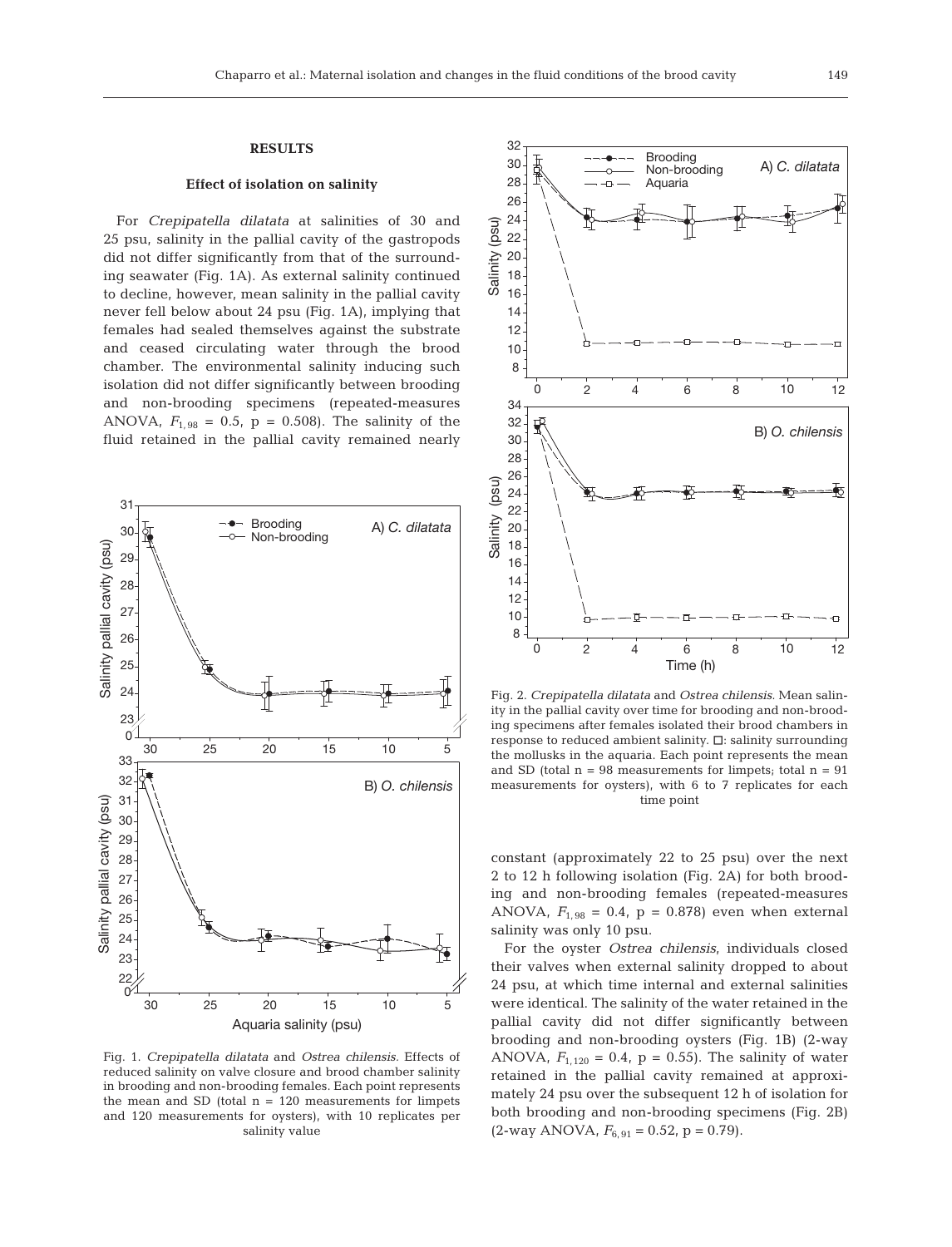# **RESULTS**

# **Effect of isolation on salinity**

For *Crepipatella dilatata* at salinities of 30 and 25 psu, salinity in the pallial cavity of the gastropods did not differ significantly from that of the surrounding seawater (Fig. 1A). As external salinity continued to decline, however, mean salinity in the pallial cavity never fell below about 24 psu (Fig. 1A), implying that females had sealed themselves against the substrate and ceased circulating water through the brood chamber. The environmental salinity inducing such isolation did not differ significantly between brooding and non-brooding specimens (repeated-measures ANOVA,  $F_{1,98} = 0.5$ ,  $p = 0.508$ ). The salinity of the fluid retained in the pallial cavity remained nearly



Fig. 1. *Crepipatella dilatata* and *Ostrea chilensis.* Effects of reduced salinity on valve closure and brood chamber salinity in brooding and non-brooding females. Each point represents the mean and SD (total  $n = 120$  measurements for limpets and 120 measurements for oysters), with 10 replicates per salinity value



Fig. 2. *Crepipatella dilatata* and *Ostrea chilensis.* Mean salinity in the pallial cavity over time for brooding and non-brooding specimens after females isolated their brood chambers in response to reduced ambient salinity.  $\Box$ : salinity surrounding the mollusks in the aquaria. Each point represents the mean and SD (total  $n = 98$  measurements for limpets; total  $n = 91$ measurements for oysters), with 6 to 7 replicates for each time point

constant (approximately 22 to 25 psu) over the next 2 to 12 h following isolation (Fig. 2A) for both brooding and non-brooding females (repeated-measures ANOVA,  $F_{1,98} = 0.4$ ,  $p = 0.878$ ) even when external salinity was only 10 psu.

For the oyster *Ostrea chilensis*, individuals closed their valves when external salinity dropped to about 24 psu, at which time internal and external salinities were identical. The salinity of the water retained in the pallial cavity did not differ significantly between brooding and non-brooding oysters (Fig. 1B) (2-way ANOVA,  $F_{1,120} = 0.4$ ,  $p = 0.55$ ). The salinity of water retained in the pallial cavity remained at approximately 24 psu over the subsequent 12 h of isolation for both brooding and non-brooding specimens (Fig. 2B)  $(2$ -way ANOVA,  $F_{6, 91} = 0.52$ ,  $p = 0.79$ ).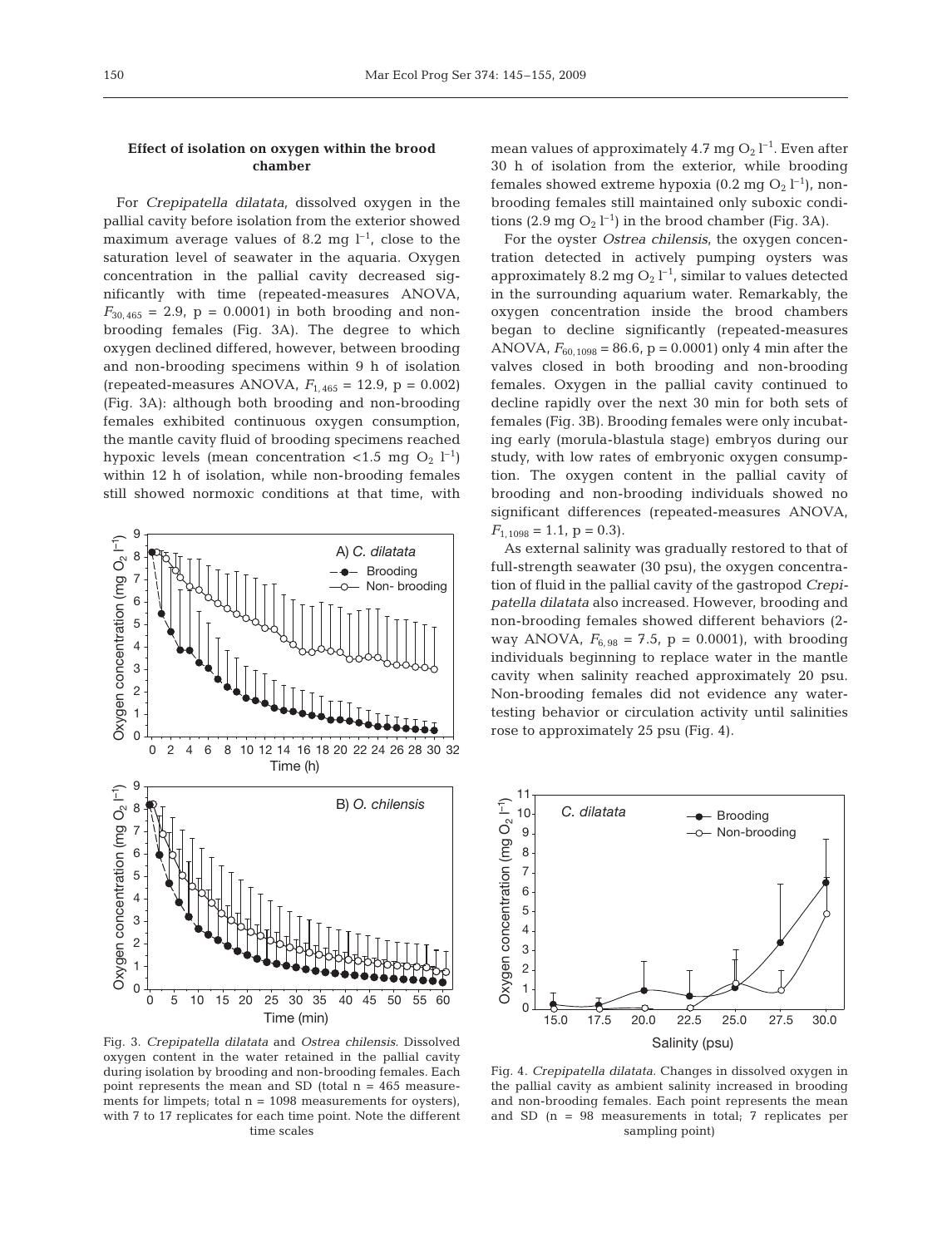# **Effect of isolation on oxygen within the brood chamber**

For *Crepipatella dilatata*, dissolved oxygen in the pallial cavity before isolation from the exterior showed maximum average values of 8.2 mg  $l^{-1}$ , close to the saturation level of seawater in the aquaria. Oxygen concentration in the pallial cavity decreased significantly with time (repeated-measures ANOVA,  $F_{30,465} = 2.9$ ,  $p = 0.0001$ ) in both brooding and nonbrooding females (Fig. 3A). The degree to which oxygen declined differed, however, between brooding and non-brooding specimens within 9 h of isolation (repeated-measures ANOVA,  $F_{1,465} = 12.9$ ,  $p = 0.002$ ) (Fig. 3A): although both brooding and non-brooding females exhibited continuous oxygen consumption, the mantle cavity fluid of brooding specimens reached hypoxic levels (mean concentration <1.5 mg  $O_2$  l<sup>-1</sup>) within 12 h of isolation, while non-brooding females still showed normoxic conditions at that time, with



Fig. 3. *Crepipatella dilatata* and *Ostrea chilensis.* Dissolved oxygen content in the water retained in the pallial cavity during isolation by brooding and non-brooding females. Each point represents the mean and SD (total  $n = 465$  measurements for limpets; total  $n = 1098$  measurements for oysters), with 7 to 17 replicates for each time point. Note the different time scales

mean values of approximately 4.7 mg  $O_2$  l<sup>-1</sup>. Even after 30 h of isolation from the exterior, while brooding females showed extreme hypoxia (0.2 mg  $O_2$  l<sup>-1</sup>), nonbrooding females still maintained only suboxic conditions (2.9 mg  $O_2 l^{-1}$ ) in the brood chamber (Fig. 3A).

For the oyster *Ostrea chilensis*, the oxygen concentration detected in actively pumping oysters was approximately 8.2 mg  $O_2$  l<sup>-1</sup>, similar to values detected in the surrounding aquarium water. Remarkably, the oxygen concentration inside the brood chambers began to decline significantly (repeated-measures ANOVA,  $F_{60,1098} = 86.6$ , p = 0.0001) only 4 min after the valves closed in both brooding and non-brooding females. Oxygen in the pallial cavity continued to decline rapidly over the next 30 min for both sets of females (Fig. 3B). Brooding females were only incubating early (morula-blastula stage) embryos during our study, with low rates of embryonic oxygen consumption. The oxygen content in the pallial cavity of brooding and non-brooding individuals showed no significant differences (repeated-measures ANOVA,  $F_{1,1098} = 1.1, p = 0.3$ .

As external salinity was gradually restored to that of full-strength seawater (30 psu), the oxygen concentration of fluid in the pallial cavity of the gastropod *Crepipatella dilatata* also increased. However, brooding and non-brooding females showed different behaviors (2 way ANOVA,  $F_{6, 98} = 7.5$ ,  $p = 0.0001$ ), with brooding individuals beginning to replace water in the mantle cavity when salinity reached approximately 20 psu. Non-brooding females did not evidence any watertesting behavior or circulation activity until salinities rose to approximately 25 psu (Fig. 4).



Fig. 4. *Crepipatella dilatata.* Changes in dissolved oxygen in the pallial cavity as ambient salinity increased in brooding and non-brooding females. Each point represents the mean and SD (n = 98 measurements in total; 7 replicates per sampling point)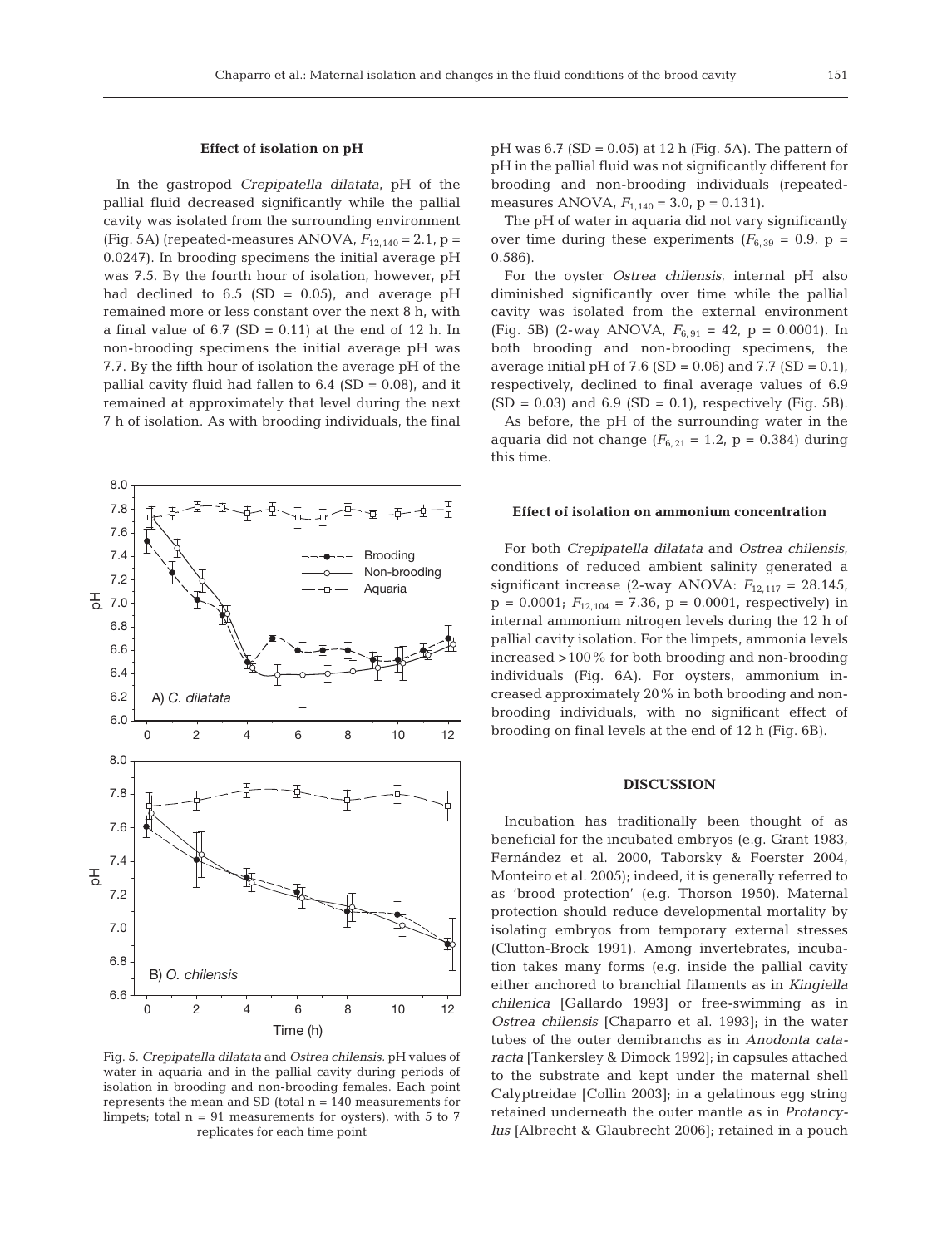# **Effect of isolation on pH**

In the gastropod *Crepipatella dilatata*, pH of the pallial fluid decreased significantly while the pallial cavity was isolated from the surrounding environment (Fig. 5A) (repeated-measures ANOVA,  $F_{12,140} = 2.1$ , p = 0.0247). In brooding specimens the initial average pH was 7.5. By the fourth hour of isolation, however, pH had declined to  $6.5$  (SD = 0.05), and average pH remained more or less constant over the next 8 h, with a final value of  $6.7$  (SD = 0.11) at the end of 12 h. In non-brooding specimens the initial average pH was 7.7. By the fifth hour of isolation the average pH of the pallial cavity fluid had fallen to  $6.4$  (SD = 0.08), and it remained at approximately that level during the next 7 h of isolation. As with brooding individuals, the final



Fig. 5. *Crepipatella dilatata* and *Ostrea chilensis.* pH values of water in aquaria and in the pallial cavity during periods of isolation in brooding and non-brooding females. Each point represents the mean and SD (total  $n = 140$  measurements for limpets; total  $n = 91$  measurements for oysters), with 5 to 7 replicates for each time point

 $pH$  was 6.7 (SD = 0.05) at 12 h (Fig. 5A). The pattern of pH in the pallial fluid was not significantly different for brooding and non-brooding individuals (repeatedmeasures ANOVA,  $F_{1,140} = 3.0$ , p = 0.131).

The pH of water in aquaria did not vary significantly over time during these experiments  $(F_{6, 39} = 0.9, p =$ 0.586).

For the oyster *Ostrea chilensis*, internal pH also diminished significantly over time while the pallial cavity was isolated from the external environment (Fig. 5B) (2-way ANOVA,  $F_{6,91} = 42$ , p = 0.0001). In both brooding and non-brooding specimens, the average initial pH of 7.6 (SD =  $0.06$ ) and 7.7 (SD =  $0.1$ ), respectively, declined to final average values of 6.9  $(SD = 0.03)$  and 6.9  $(SD = 0.1)$ , respectively (Fig. 5B).

As before, the pH of the surrounding water in the aquaria did not change  $(F_{6, 21} = 1.2, p = 0.384)$  during this time.

#### **Effect of isolation on ammonium concentration**

For both *Crepipatella dilatata* and *Ostrea chilensis*, conditions of reduced ambient salinity generated a significant increase (2-way ANOVA:  $F_{12,117} = 28.145$ ,  $p = 0.0001$ ;  $F_{12,104} = 7.36$ ,  $p = 0.0001$ , respectively) in internal ammonium nitrogen levels during the 12 h of pallial cavity isolation. For the limpets, ammonia levels increased >100% for both brooding and non-brooding individuals (Fig. 6A). For oysters, ammonium increased approximately 20% in both brooding and nonbrooding individuals, with no significant effect of brooding on final levels at the end of 12 h (Fig. 6B).

## **DISCUSSION**

Incubation has traditionally been thought of as beneficial for the incubated embryos (e.g. Grant 1983, Fernández et al. 2000, Taborsky & Foerster 2004, Monteiro et al. 2005); indeed, it is generally referred to as 'brood protection' (e.g. Thorson 1950). Maternal protection should reduce developmental mortality by isolating embryos from temporary external stresses (Clutton-Brock 1991). Among invertebrates, incubation takes many forms (e.g. inside the pallial cavity either anchored to branchial filaments as in *Kingiella chilenica* [Gallardo 1993] or free-swimming as in *Ostrea chilensis* [Chaparro et al. 1993]; in the water tubes of the outer demibranchs as in *Anodonta cataracta* [Tankersley & Dimock 1992]; in capsules attached to the substrate and kept under the maternal shell Calyptreidae [Collin 2003]; in a gelatinous egg string retained underneath the outer mantle as in *Protancylus* [Albrecht & Glaubrecht 2006]; retained in a pouch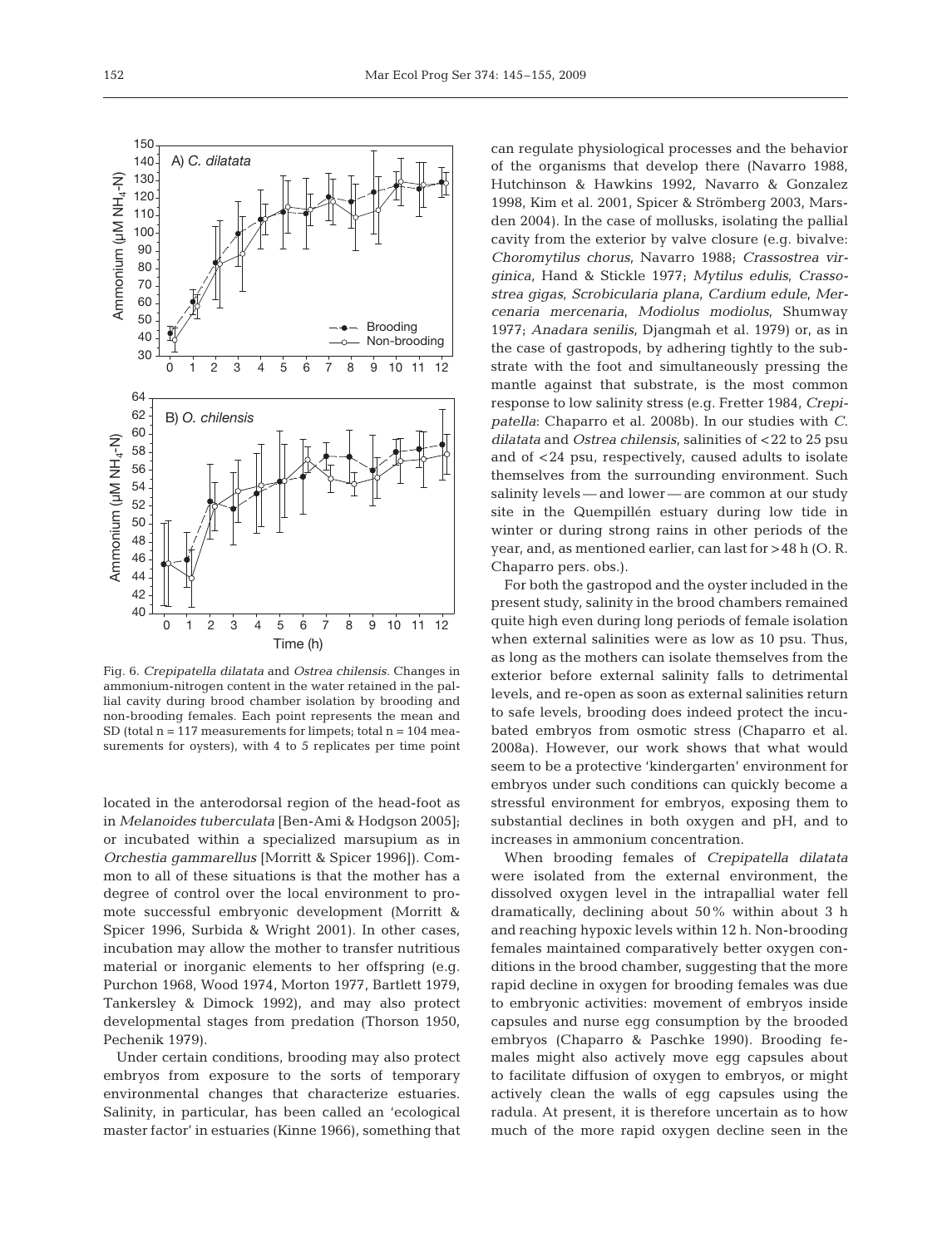

Fig. 6. *Crepipatella dilatata* and *Ostrea chilensis.* Changes in ammonium-nitrogen content in the water retained in the pallial cavity during brood chamber isolation by brooding and non-brooding females. Each point represents the mean and SD (total  $n = 117$  measurements for limpets; total  $n = 104$  measurements for oysters), with 4 to 5 replicates per time point

located in the anterodorsal region of the head-foot as in *Melanoides tuberculata* [Ben-Ami & Hodgson 2005]; or incubated within a specialized marsupium as in *Orchestia gammarellus* [Morritt & Spicer 1996]). Common to all of these situations is that the mother has a degree of control over the local environment to promote successful embryonic development (Morritt & Spicer 1996, Surbida & Wright 2001). In other cases, incubation may allow the mother to transfer nutritious material or inorganic elements to her offspring (e.g. Purchon 1968, Wood 1974, Morton 1977, Bartlett 1979, Tankersley & Dimock 1992), and may also protect developmental stages from predation (Thorson 1950, Pechenik 1979).

Under certain conditions, brooding may also protect embryos from exposure to the sorts of temporary environmental changes that characterize estuaries. Salinity, in particular, has been called an 'ecological master factor' in estuaries (Kinne 1966), something that

can regulate physiological processes and the behavior of the organisms that develop there (Navarro 1988, Hutchinson & Hawkins 1992, Navarro & Gonzalez 1998, Kim et al. 2001, Spicer & Strömberg 2003, Marsden 2004). In the case of mollusks, isolating the pallial cavity from the exterior by valve closure (e.g. bivalve: *Choromytilus chorus*, Navarro 1988; *Crassostrea virginica*, Hand & Stickle 1977; *Mytilus edulis*, *Crassostrea gigas*, *Scrobicularia plana*, *Cardium edule*, *Mercenaria mercenaria*, *Modiolus modiolus*, Shumway 1977; *Anadara senilis*, Djangmah et al. 1979) or, as in the case of gastropods, by adhering tightly to the substrate with the foot and simultaneously pressing the mantle against that substrate, is the most common response to low salinity stress (e.g. Fretter 1984, *Crepipatella*: Chaparro et al. 2008b). In our studies with *C. dilatata* and *Ostrea chilensis*, salinities of <22 to 25 psu and of <24 psu, respectively, caused adults to isolate themselves from the surrounding environment. Such salinity levels — and lower — are common at our study site in the Quempillén estuary during low tide in winter or during strong rains in other periods of the year, and, as mentioned earlier, can last for >48 h (O. R. Chaparro pers. obs.).

For both the gastropod and the oyster included in the present study, salinity in the brood chambers remained quite high even during long periods of female isolation when external salinities were as low as 10 psu. Thus, as long as the mothers can isolate themselves from the exterior before external salinity falls to detrimental levels, and re-open as soon as external salinities return to safe levels, brooding does indeed protect the incubated embryos from osmotic stress (Chaparro et al. 2008a). However, our work shows that what would seem to be a protective 'kindergarten' environment for embryos under such conditions can quickly become a stressful environment for embryos, exposing them to substantial declines in both oxygen and pH, and to increases in ammonium concentration.

When brooding females of *Crepipatella dilatata* were isolated from the external environment, the dissolved oxygen level in the intrapallial water fell dramatically, declining about 50% within about 3 h and reaching hypoxic levels within 12 h. Non-brooding females maintained comparatively better oxygen conditions in the brood chamber, suggesting that the more rapid decline in oxygen for brooding females was due to embryonic activities: movement of embryos inside capsules and nurse egg consumption by the brooded embryos (Chaparro & Paschke 1990). Brooding females might also actively move egg capsules about to facilitate diffusion of oxygen to embryos, or might actively clean the walls of egg capsules using the radula. At present, it is therefore uncertain as to how much of the more rapid oxygen decline seen in the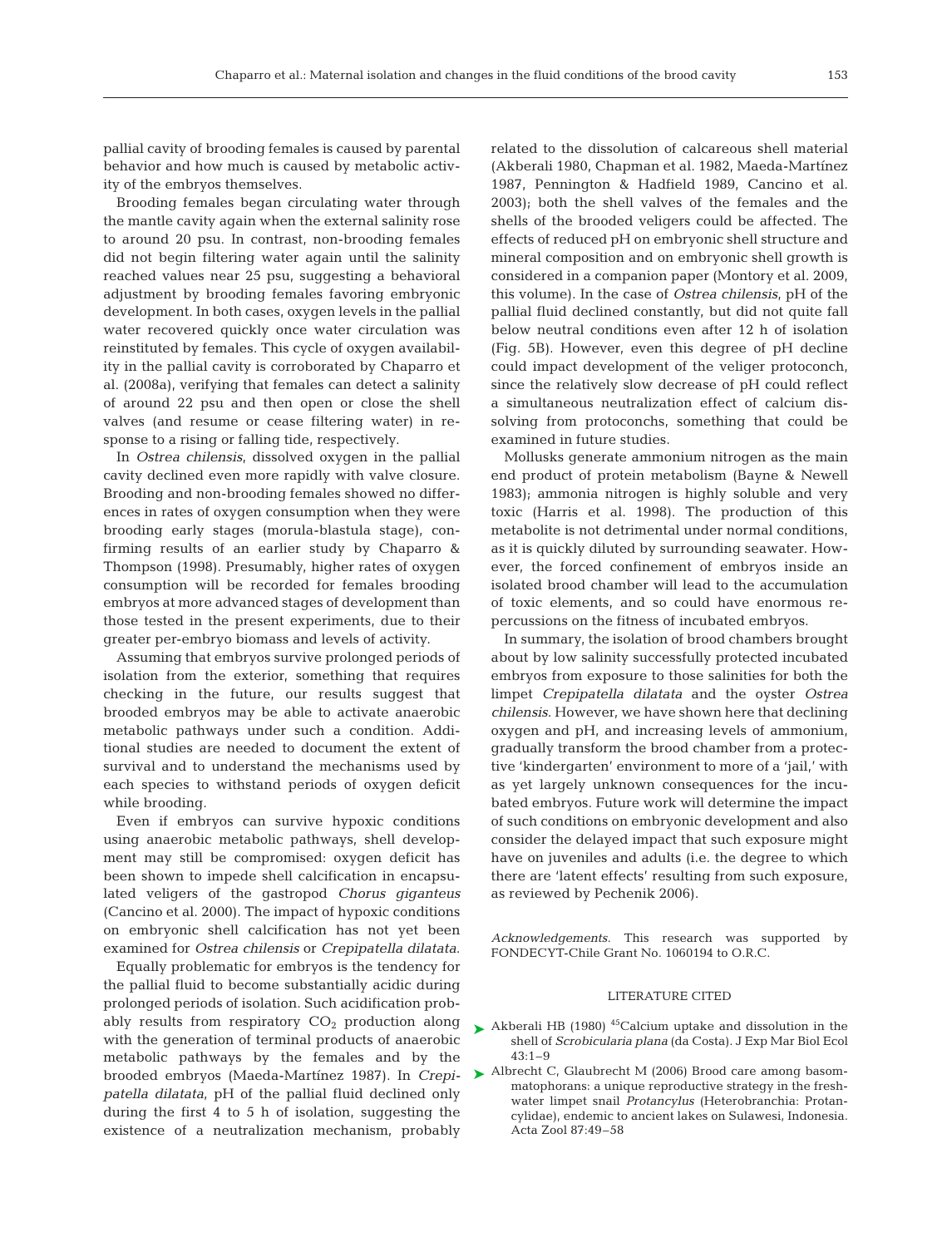pallial cavity of brooding females is caused by parental behavior and how much is caused by metabolic activity of the embryos themselves.

Brooding females began circulating water through the mantle cavity again when the external salinity rose to around 20 psu. In contrast, non-brooding females did not begin filtering water again until the salinity reached values near 25 psu, suggesting a behavioral adjustment by brooding females favoring embryonic development. In both cases, oxygen levels in the pallial water recovered quickly once water circulation was reinstituted by females. This cycle of oxygen availability in the pallial cavity is corroborated by Chaparro et al. (2008a), verifying that females can detect a salinity of around 22 psu and then open or close the shell valves (and resume or cease filtering water) in response to a rising or falling tide, respectively.

In *Ostrea chilensis*, dissolved oxygen in the pallial cavity declined even more rapidly with valve closure. Brooding and non-brooding females showed no differences in rates of oxygen consumption when they were brooding early stages (morula-blastula stage), confirming results of an earlier study by Chaparro & Thompson (1998). Presumably, higher rates of oxygen consumption will be recorded for females brooding embryos at more advanced stages of development than those tested in the present experiments, due to their greater per-embryo biomass and levels of activity.

Assuming that embryos survive prolonged periods of isolation from the exterior, something that requires checking in the future, our results suggest that brooded embryos may be able to activate anaerobic metabolic pathways under such a condition. Additional studies are needed to document the extent of survival and to understand the mechanisms used by each species to withstand periods of oxygen deficit while brooding.

Even if embryos can survive hypoxic conditions using anaerobic metabolic pathways, shell development may still be compromised: oxygen deficit has been shown to impede shell calcification in encapsulated veligers of the gastropod *Chorus giganteus* (Cancino et al. 2000). The impact of hypoxic conditions on embryonic shell calcification has not yet been examined for *Ostrea chilensis* or *Crepipatella dilatata*.

Equally problematic for embryos is the tendency for the pallial fluid to become substantially acidic during prolonged periods of isolation. Such acidification probably results from respiratory  $CO<sub>2</sub>$  production along with the generation of terminal products of anaerobic metabolic pathways by the females and by the brooded embryos (Maeda-Martínez 1987). In *Crepipatella dilatata*, pH of the pallial fluid declined only during the first 4 to 5 h of isolation, suggesting the existence of a neutralization mechanism, probably related to the dissolution of calcareous shell material (Akberali 1980, Chapman et al. 1982, Maeda-Martínez 1987, Pennington & Hadfield 1989, Cancino et al. 2003); both the shell valves of the females and the shells of the brooded veligers could be affected. The effects of reduced pH on embryonic shell structure and mineral composition and on embryonic shell growth is considered in a companion paper (Montory et al. 2009, this volume). In the case of *Ostrea chilensis*, pH of the pallial fluid declined constantly, but did not quite fall below neutral conditions even after 12 h of isolation (Fig. 5B). However, even this degree of pH decline could impact development of the veliger protoconch, since the relatively slow decrease of pH could reflect a simultaneous neutralization effect of calcium dissolving from protoconchs, something that could be examined in future studies.

Mollusks generate ammonium nitrogen as the main end product of protein metabolism (Bayne & Newell 1983); ammonia nitrogen is highly soluble and very toxic (Harris et al. 1998). The production of this metabolite is not detrimental under normal conditions, as it is quickly diluted by surrounding seawater. However, the forced confinement of embryos inside an isolated brood chamber will lead to the accumulation of toxic elements, and so could have enormous repercussions on the fitness of incubated embryos.

In summary, the isolation of brood chambers brought about by low salinity successfully protected incubated embryos from exposure to those salinities for both the limpet *Crepipatella dilatata* and the oyster *Ostrea chilensis*. However, we have shown here that declining oxygen and pH, and increasing levels of ammonium, gradually transform the brood chamber from a protective 'kindergarten' environment to more of a 'jail,' with as yet largely unknown consequences for the incubated embryos. Future work will determine the impact of such conditions on embryonic development and also consider the delayed impact that such exposure might have on juveniles and adults (i.e. the degree to which there are 'latent effects' resulting from such exposure, as reviewed by Pechenik 2006).

*Acknowledgements.* This research was supported by FONDECYT-Chile Grant No. 1060194 to O.R.C.

## LITERATURE CITED

- $\blacktriangleright$  Akberali HB (1980) <sup>45</sup>Calcium uptake and dissolution in the shell of *Scrobicularia plana* (da Costa). J Exp Mar Biol Ecol  $43:1-9$
- ▶ Albrecht C, Glaubrecht M (2006) Brood care among basommatophorans: a unique reproductive strategy in the freshwater limpet snail *Protancylus* (Heterobranchia: Protancylidae), endemic to ancient lakes on Sulawesi, Indonesia. Acta Zool 87:49–58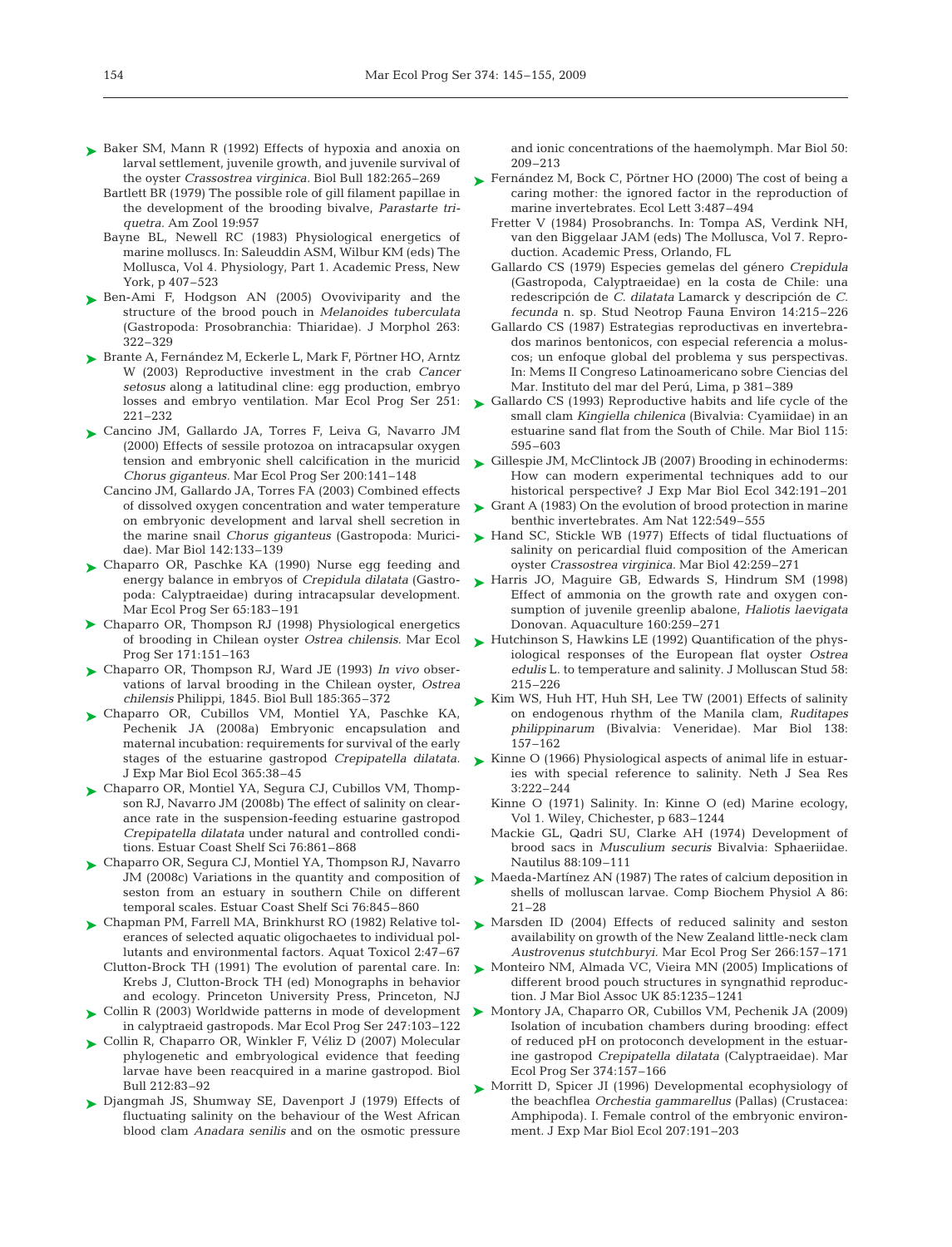- ► Baker SM, Mann R (1992) Effects of hypoxia and anoxia on larval settlement, juvenile growth, and juvenile survival of the oyster *Crassostrea virginica.* Biol Bull 182:265–269
	- Bartlett BR (1979) The possible role of gill filament papillae in the development of the brooding bivalve, *Parastarte triquetra.* Am Zool 19:957
	- Bayne BL, Newell RC (1983) Physiological energetics of marine molluscs. In: Saleuddin ASM, Wilbur KM (eds) The Mollusca, Vol 4. Physiology, Part 1. Academic Press, New York, p 407–523
- ► Ben-Ami F, Hodgson AN (2005) Ovoviviparity and the structure of the brood pouch in *Melanoides tuberculata* (Gastropoda: Prosobranchia: Thiaridae). J Morphol 263: 322–329
- ► Brante A, Fernández M, Eckerle L, Mark F, Pörtner HO, Arntz W (2003) Reproductive investment in the crab *Cancer setosus* along a latitudinal cline: egg production, embryo losses and embryo ventilation. Mar Ecol Prog Ser 251: 221–232
- ► Cancino JM, Gallardo JA, Torres F, Leiva G, Navarro JM (2000) Effects of sessile protozoa on intracapsular oxygen tension and embryonic shell calcification in the muricid *Chorus giganteus.* Mar Ecol Prog Ser 200:141–148
	- Cancino JM, Gallardo JA, Torres FA (2003) Combined effects of dissolved oxygen concentration and water temperature on embryonic development and larval shell secretion in the marine snail *Chorus giganteus* (Gastropoda: Muricidae). Mar Biol 142:133–139
- Chaparro OR, Paschke KA (1990) Nurse egg feeding and ➤ energy balance in embryos of *Crepidula dilatata* (Gastropoda: Calyptraeidae) during intracapsular development. Mar Ecol Prog Ser 65:183–191
- ▶ Chaparro OR, Thompson RJ (1998) Physiological energetics of brooding in Chilean oyster *Ostrea chilensis.* Mar Ecol Prog Ser 171:151–163
- ► Chaparro OR, Thompson RJ, Ward JE (1993) *In vivo* observations of larval brooding in the Chilean oyster, *Ostrea chilensis* Philippi, 1845. Biol Bull 185:365–372
- Chaparro OR, Cubillos VM, Montiel YA, Paschke KA, ➤ Pechenik JA (2008a) Embryonic encapsulation and maternal incubation: requirements for survival of the early stages of the estuarine gastropod *Crepipatella dilatata.* J Exp Mar Biol Ecol 365:38–45
- ► Chaparro OR, Montiel YA, Segura CJ, Cubillos VM, Thompson RJ, Navarro JM (2008b) The effect of salinity on clearance rate in the suspension-feeding estuarine gastropod *Crepipatella dilatata* under natural and controlled conditions. Estuar Coast Shelf Sci 76:861–868
- ► Chaparro OR, Segura CJ, Montiel YA, Thompson RJ, Navarro JM (2008c) Variations in the quantity and composition of seston from an estuary in southern Chile on different temporal scales. Estuar Coast Shelf Sci 76:845–860
- ► Chapman PM, Farrell MA, Brinkhurst RO (1982) Relative tolerances of selected aquatic oligochaetes to individual pollutants and environmental factors. Aquat Toxicol 2:47–67 Clutton-Brock TH (1991) The evolution of parental care. In: Krebs J, Clutton-Brock TH (ed) Monographs in behavior and ecology. Princeton University Press, Princeton, NJ
- in calyptraeid gastropods. Mar Ecol Prog Ser 247:103–122
- ► Collin R, Chaparro OR, Winkler F, Véliz D (2007) Molecular phylogenetic and embryological evidence that feeding larvae have been reacquired in a marine gastropod. Biol Bull 212:83–92
- ▶ Djangmah JS, Shumway SE, Davenport J (1979) Effects of fluctuating salinity on the behaviour of the West African blood clam *Anadara senilis* and on the osmotic pressure

and ionic concentrations of the haemolymph. Mar Biol 50: 209–213

- ► Fernández M, Bock C, Pörtner HO (2000) The cost of being a caring mother: the ignored factor in the reproduction of marine invertebrates. Ecol Lett 3:487–494
	- Fretter V (1984) Prosobranchs. In: Tompa AS, Verdink NH, van den Biggelaar JAM (eds) The Mollusca, Vol 7. Reproduction. Academic Press, Orlando, FL
	- Gallardo CS (1979) Especies gemelas del género *Crepidula* (Gastropoda, Calyptraeidae) en la costa de Chile: una redescripción de *C. dilatata* Lamarck y descripción de *C. fecunda* n. sp. Stud Neotrop Fauna Environ 14:215–226
	- Gallardo CS (1987) Estrategias reproductivas en invertebrados marinos bentonicos, con especial referencia a moluscos; un enfoque global del problema y sus perspectivas. In: Mems II Congreso Latinoamericano sobre Ciencias del Mar. Instituto del mar del Perú, Lima, p 381–389
- ► Gallardo CS (1993) Reproductive habits and life cycle of the small clam *Kingiella chilenica* (Bivalvia: Cyamiidae) in an estuarine sand flat from the South of Chile. Mar Biol 115: 595–603
- ► Gillespie JM, McClintock JB (2007) Brooding in echinoderms: How can modern experimental techniques add to our historical perspective? J Exp Mar Biol Ecol 342:191–201
- ► Grant A (1983) On the evolution of brood protection in marine benthic invertebrates. Am Nat 122:549–555
- ► Hand SC, Stickle WB (1977) Effects of tidal fluctuations of salinity on pericardial fluid composition of the American oyster *Crassostrea virginica.* Mar Biol 42:259–271
- ► Harris JO, Maguire GB, Edwards S, Hindrum SM (1998) Effect of ammonia on the growth rate and oxygen consumption of juvenile greenlip abalone, *Haliotis laevigata* Donovan. Aquaculture 160:259–271
- ► Hutchinson S, Hawkins LE (1992) Quantification of the physiological responses of the European flat oyster *Ostrea edulis* L. to temperature and salinity. J Molluscan Stud 58: 215–226
- ► Kim WS, Huh HT, Huh SH, Lee TW (2001) Effects of salinity on endogenous rhythm of the Manila clam, *Ruditapes philippinarum* (Bivalvia: Veneridae). Mar Biol 138: 157–162
- ► Kinne O (1966) Physiological aspects of animal life in estuaries with special reference to salinity. Neth J Sea Res 3:222–244
	- Kinne O (1971) Salinity. In: Kinne O (ed) Marine ecology, Vol 1. Wiley, Chichester, p 683–1244
	- Mackie GL, Qadri SU, Clarke AH (1974) Development of brood sacs in *Musculium securis* Bivalvia: Sphaeriidae. Nautilus 88:109–111
- ► Maeda-Martínez AN (1987) The rates of calcium deposition in shells of molluscan larvae. Comp Biochem Physiol A 86: 21–28
- ▶ Marsden ID (2004) Effects of reduced salinity and seston availability on growth of the New Zealand little-neck clam *Austrovenus stutchburyi.* Mar Ecol Prog Ser 266:157–171
- ▶ Monteiro NM, Almada VC, Vieira MN (2005) Implications of different brood pouch structures in syngnathid reproduction. J Mar Biol Assoc UK 85:1235–1241
- ► Collin R (2003) Worldwide patterns in mode of development ► Montory JA, Chaparro OR, Cubillos VM, Pechenik JA (2009) Isolation of incubation chambers during brooding: effect of reduced pH on protoconch development in the estuarine gastropod *Crepipatella dilatata* (Calyptraeidae). Mar Ecol Prog Ser 374:157–166
	- ► Morritt D, Spicer JI (1996) Developmental ecophysiology of the beachflea *Orchestia gammarellus* (Pallas) (Crustacea: Amphipoda). I. Female control of the embryonic environment. J Exp Mar Biol Ecol 207:191–203